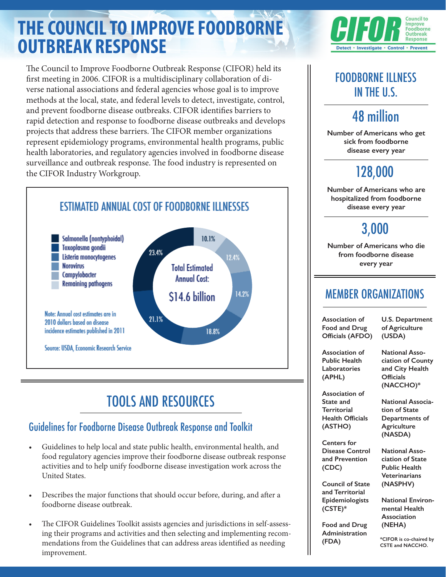# **THE COUNCIL TO IMPROVE FOODBORNE OUTBREAK RESPONSE**

The Council to Improve Foodborne Outbreak Response (CIFOR) held its first meeting in 2006. CIFOR is a multidisciplinary collaboration of diverse national associations and federal agencies whose goal is to improve methods at the local, state, and federal levels to detect, investigate, control, and prevent foodborne disease outbreaks. CIFOR identifies barriers to rapid detection and response to foodborne disease outbreaks and develops projects that address these barriers. The CIFOR member organizations represent epidemiology programs, environmental health programs, public health laboratories, and regulatory agencies involved in foodborne disease surveillance and outbreak response. The food industry is represented on the CIFOR Industry Workgroup.



# TOOLS AND RESOURCES

#### Guidelines for Foodborne Disease Outbreak Response and Toolkit

- Guidelines to help local and state public health, environmental health, and food regulatory agencies improve their foodborne disease outbreak response activities and to help unify foodborne disease investigation work across the United States.
- Describes the major functions that should occur before, during, and after a foodborne disease outbreak.
- The CIFOR Guidelines Toolkit assists agencies and jurisdictions in self-assessing their programs and activities and then selecting and implementing recommendations from the Guidelines that can address areas identified as needing improvement.



## FOODBORNE ILLNESS IN THE U.S.

# 48 million

**Number of Americans who get sick from foodborne disease every year**

# 128,000

**Number of Americans who are hospitalized from foodborne disease every year**

## 3,000

**Number of Americans who die from foodborne disease every year**

### MEMBER ORGANIZATIONS

**Association of Food and Drug Officials (AFDO)**

**U.S. Department of Agriculture (USDA)**

**Association of Public Health Laboratories (APHL)**

**National Association of County and City Health Officials** 

**Association of State and Territorial Health Officials (ASTHO)**

**Centers for Disease Control and Prevention (CDC)**

**Council of State and Territorial Epidemiologists (CSTE)\***

**Food and Drug Administration (FDA)**

**(NACCHO)\* National Association of State**

**Departments of Agriculture (NASDA)**

**National Association of State Public Health Veterinarians (NASPHV)**

**National Environmental Health Association (NEHA)**

**\*CIFOR is co-chaired by CSTE and NACCHO.**